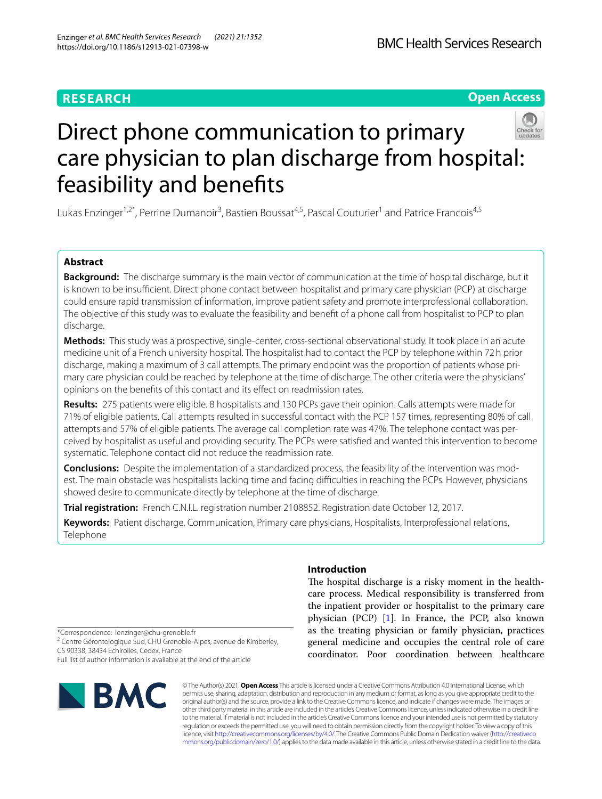## **RESEARCH**

## **Open Access**



# Direct phone communication to primary care physician to plan discharge from hospital: feasibility and benefts

Lukas Enzinger<sup>1,2\*</sup>, Perrine Dumanoir<sup>3</sup>, Bastien Boussat<sup>4,5</sup>, Pascal Couturier<sup>1</sup> and Patrice Francois<sup>4,5</sup>

## **Abstract**

**Background:** The discharge summary is the main vector of communication at the time of hospital discharge, but it is known to be insufficient. Direct phone contact between hospitalist and primary care physician (PCP) at discharge could ensure rapid transmission of information, improve patient safety and promote interprofessional collaboration. The objective of this study was to evaluate the feasibility and beneft of a phone call from hospitalist to PCP to plan discharge.

**Methods:** This study was a prospective, single-center, cross-sectional observational study. It took place in an acute medicine unit of a French university hospital. The hospitalist had to contact the PCP by telephone within 72h prior discharge, making a maximum of 3 call attempts. The primary endpoint was the proportion of patients whose primary care physician could be reached by telephone at the time of discharge. The other criteria were the physicians' opinions on the benefts of this contact and its efect on readmission rates.

**Results:** 275 patients were eligible. 8 hospitalists and 130 PCPs gave their opinion. Calls attempts were made for 71% of eligible patients. Call attempts resulted in successful contact with the PCP 157 times, representing 80% of call attempts and 57% of eligible patients. The average call completion rate was 47%. The telephone contact was perceived by hospitalist as useful and providing security. The PCPs were satisfed and wanted this intervention to become systematic. Telephone contact did not reduce the readmission rate.

**Conclusions:** Despite the implementation of a standardized process, the feasibility of the intervention was modest. The main obstacle was hospitalists lacking time and facing difficulties in reaching the PCPs. However, physicians showed desire to communicate directly by telephone at the time of discharge.

**Trial registration:** French C.N.I.L. registration number 2108852. Registration date October 12, 2017.

**Keywords:** Patient discharge, Communication, Primary care physicians, Hospitalists, Interprofessional relations, Telephone

\*Correspondence: lenzinger@chu-grenoble.fr

<sup>2</sup> Centre Gérontologique Sud, CHU Grenoble-Alpes, avenue de Kimberley, CS 90338, 38434 Echirolles, Cedex, France

Full list of author information is available at the end of the article



**Introduction** The hospital discharge is a risky moment in the health-

care process. Medical responsibility is transferred from the inpatient provider or hospitalist to the primary care physician (PCP) [[1\]](#page-6-0). In France, the PCP, also known as the treating physician or family physician, practices general medicine and occupies the central role of care coordinator. Poor coordination between healthcare

© The Author(s) 2021. **Open Access** This article is licensed under a Creative Commons Attribution 4.0 International License, which permits use, sharing, adaptation, distribution and reproduction in any medium or format, as long as you give appropriate credit to the original author(s) and the source, provide a link to the Creative Commons licence, and indicate if changes were made. The images or other third party material in this article are included in the article's Creative Commons licence, unless indicated otherwise in a credit line to the material. If material is not included in the article's Creative Commons licence and your intended use is not permitted by statutory regulation or exceeds the permitted use, you will need to obtain permission directly from the copyright holder. To view a copy of this licence, visit [http://creativecommons.org/licenses/by/4.0/.](http://creativecommons.org/licenses/by/4.0/) The Creative Commons Public Domain Dedication waiver ([http://creativeco](http://creativecommons.org/publicdomain/zero/1.0/) [mmons.org/publicdomain/zero/1.0/](http://creativecommons.org/publicdomain/zero/1.0/)) applies to the data made available in this article, unless otherwise stated in a credit line to the data.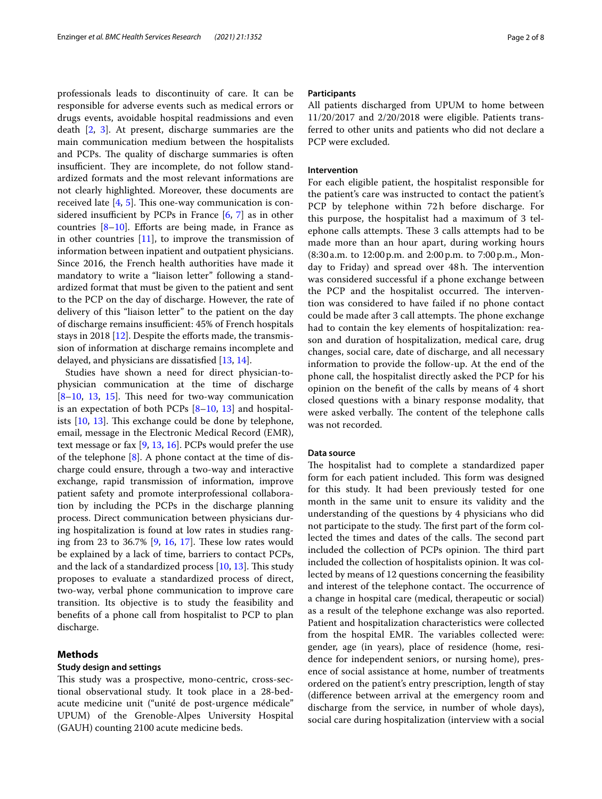professionals leads to discontinuity of care. It can be responsible for adverse events such as medical errors or drugs events, avoidable hospital readmissions and even death [\[2](#page-6-1), [3](#page-6-2)]. At present, discharge summaries are the main communication medium between the hospitalists and PCPs. The quality of discharge summaries is often insufficient. They are incomplete, do not follow standardized formats and the most relevant informations are not clearly highlighted. Moreover, these documents are received late  $[4, 5]$  $[4, 5]$  $[4, 5]$  $[4, 5]$ . This one-way communication is considered insufficient by PCPs in France  $[6, 7]$  $[6, 7]$  $[6, 7]$  as in other countries  $[8-10]$  $[8-10]$  $[8-10]$ . Efforts are being made, in France as in other countries  $[11]$  $[11]$ , to improve the transmission of information between inpatient and outpatient physicians. Since 2016, the French health authorities have made it mandatory to write a "liaison letter" following a standardized format that must be given to the patient and sent to the PCP on the day of discharge. However, the rate of delivery of this "liaison letter" to the patient on the day of discharge remains insufficient: 45% of French hospitals stays in 2018  $[12]$  $[12]$ . Despite the efforts made, the transmission of information at discharge remains incomplete and delayed, and physicians are dissatisfed [[13,](#page-6-11) [14\]](#page-6-12).

Studies have shown a need for direct physician-tophysician communication at the time of discharge  $[8-10, 13, 15]$  $[8-10, 13, 15]$  $[8-10, 13, 15]$  $[8-10, 13, 15]$  $[8-10, 13, 15]$  $[8-10, 13, 15]$ . This need for two-way communication is an expectation of both PCPs [\[8](#page-6-7)–[10,](#page-6-8) [13](#page-6-11)] and hospitalists  $[10, 13]$  $[10, 13]$  $[10, 13]$  $[10, 13]$ . This exchange could be done by telephone, email, message in the Electronic Medical Record (EMR), text message or fax [[9](#page-6-14), [13,](#page-6-11) [16\]](#page-6-15). PCPs would prefer the use of the telephone  $[8]$  $[8]$ . A phone contact at the time of discharge could ensure, through a two-way and interactive exchange, rapid transmission of information, improve patient safety and promote interprofessional collaboration by including the PCPs in the discharge planning process. Direct communication between physicians during hospitalization is found at low rates in studies ranging from 23 to 36.7%  $[9, 16, 17]$  $[9, 16, 17]$  $[9, 16, 17]$  $[9, 16, 17]$  $[9, 16, 17]$  $[9, 16, 17]$ . These low rates would be explained by a lack of time, barriers to contact PCPs, and the lack of a standardized process  $[10, 13]$  $[10, 13]$  $[10, 13]$ . This study proposes to evaluate a standardized process of direct, two-way, verbal phone communication to improve care transition. Its objective is to study the feasibility and benefts of a phone call from hospitalist to PCP to plan discharge.

## **Methods**

## **Study design and settings**

This study was a prospective, mono-centric, cross-sectional observational study. It took place in a 28-bedacute medicine unit ("unité de post-urgence médicale" UPUM) of the Grenoble-Alpes University Hospital (GAUH) counting 2100 acute medicine beds.

### **Participants**

All patients discharged from UPUM to home between 11/20/2017 and 2/20/2018 were eligible. Patients transferred to other units and patients who did not declare a PCP were excluded.

## **Intervention**

For each eligible patient, the hospitalist responsible for the patient's care was instructed to contact the patient's PCP by telephone within 72h before discharge. For this purpose, the hospitalist had a maximum of 3 telephone calls attempts. These 3 calls attempts had to be made more than an hour apart, during working hours (8:30 a.m. to 12:00p.m. and 2:00p.m. to 7:00p.m., Monday to Friday) and spread over 48h. The intervention was considered successful if a phone exchange between the PCP and the hospitalist occurred. The intervention was considered to have failed if no phone contact could be made after 3 call attempts. The phone exchange had to contain the key elements of hospitalization: reason and duration of hospitalization, medical care, drug changes, social care, date of discharge, and all necessary information to provide the follow-up. At the end of the phone call, the hospitalist directly asked the PCP for his opinion on the beneft of the calls by means of 4 short closed questions with a binary response modality, that were asked verbally. The content of the telephone calls was not recorded.

## **Data source**

The hospitalist had to complete a standardized paper form for each patient included. This form was designed for this study. It had been previously tested for one month in the same unit to ensure its validity and the understanding of the questions by 4 physicians who did not participate to the study. The first part of the form collected the times and dates of the calls. The second part included the collection of PCPs opinion. The third part included the collection of hospitalists opinion. It was collected by means of 12 questions concerning the feasibility and interest of the telephone contact. The occurrence of a change in hospital care (medical, therapeutic or social) as a result of the telephone exchange was also reported. Patient and hospitalization characteristics were collected from the hospital EMR. The variables collected were: gender, age (in years), place of residence (home, residence for independent seniors, or nursing home), presence of social assistance at home, number of treatments ordered on the patient's entry prescription, length of stay (diference between arrival at the emergency room and discharge from the service, in number of whole days), social care during hospitalization (interview with a social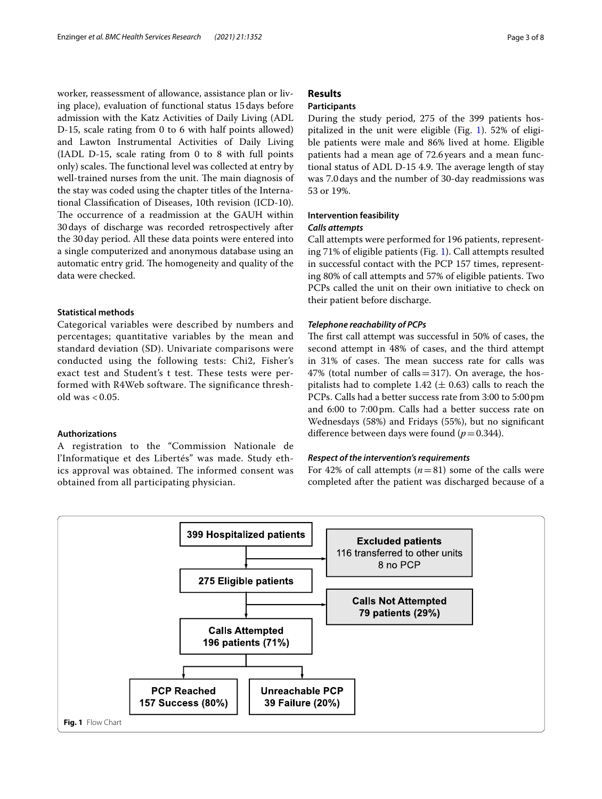worker, reassessment of allowance, assistance plan or living place), evaluation of functional status 15days before admission with the Katz Activities of Daily Living (ADL D-15, scale rating from 0 to 6 with half points allowed) and Lawton Instrumental Activities of Daily Living (IADL D-15, scale rating from 0 to 8 with full points only) scales. The functional level was collected at entry by well-trained nurses from the unit. The main diagnosis of the stay was coded using the chapter titles of the International Classifcation of Diseases, 10th revision (ICD-10). The occurrence of a readmission at the GAUH within 30days of discharge was recorded retrospectively after the 30day period. All these data points were entered into a single computerized and anonymous database using an automatic entry grid. The homogeneity and quality of the data were checked.

## **Statistical methods**

Categorical variables were described by numbers and percentages; quantitative variables by the mean and standard deviation (SD). Univariate comparisons were conducted using the following tests: Chi2, Fisher's exact test and Student's t test. These tests were performed with R4Web software. The significance threshold was < 0.05.

## **Authorizations**

A registration to the "Commission Nationale de l'Informatique et des Libertés" was made. Study ethics approval was obtained. The informed consent was obtained from all participating physician.

## **Results**

## **Participants**

During the study period, 275 of the 399 patients hospitalized in the unit were eligible (Fig. [1](#page-2-0)). 52% of eligible patients were male and 86% lived at home. Eligible patients had a mean age of 72.6years and a mean functional status of ADL D-15 4.9. The average length of stay was 7.0days and the number of 30-day readmissions was 53 or 19%.

## **Intervention feasibility** *Calls attempts*

Call attempts were performed for 196 patients, representing 71% of eligible patients (Fig. [1\)](#page-2-0). Call attempts resulted in successful contact with the PCP 157 times, representing 80% of call attempts and 57% of eligible patients. Two PCPs called the unit on their own initiative to check on their patient before discharge.

## *Telephone reachability of PCPs*

The first call attempt was successful in 50% of cases, the second attempt in 48% of cases, and the third attempt in 31% of cases. The mean success rate for calls was 47% (total number of calls=317). On average, the hospitalists had to complete 1.42 ( $\pm$  0.63) calls to reach the PCPs. Calls had a better success rate from 3:00 to 5:00 pm and 6:00 to 7:00pm. Calls had a better success rate on Wednesdays (58%) and Fridays (55%), but no signifcant difference between days were found  $(p=0.344)$ .

## *Respect of the intervention's requirements*

For 42% of call attempts  $(n=81)$  some of the calls were completed after the patient was discharged because of a

<span id="page-2-0"></span>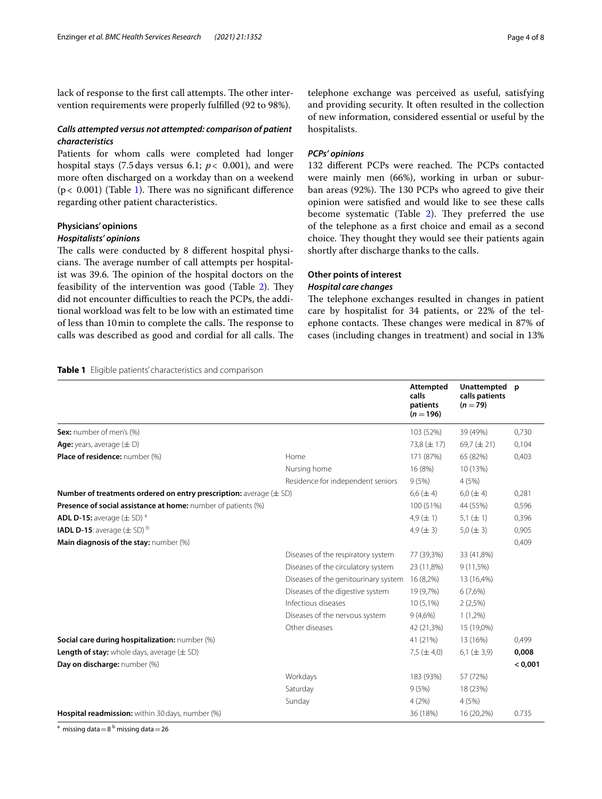lack of response to the first call attempts. The other intervention requirements were properly fulflled (92 to 98%).

## *Calls attempted versus not attempted: comparison of patient characteristics*

Patients for whom calls were completed had longer hospital stays (7.5 days versus 6.1;  $p < 0.001$ ), and were more often discharged on a workday than on a weekend ( $p$  < 0.00[1\)](#page-3-0) (Table 1). There was no significant difference regarding other patient characteristics.

## **Physicians' opinions**

## *Hospitalists' opinions*

The calls were conducted by 8 different hospital physicians. The average number of call attempts per hospitalist was 39.6. The opinion of the hospital doctors on the feasibility of the intervention was good (Table  $2$ ). They did not encounter difficulties to reach the PCPs, the additional workload was felt to be low with an estimated time of less than 10 min to complete the calls. The response to calls was described as good and cordial for all calls. The

## telephone exchange was perceived as useful, satisfying and providing security. It often resulted in the collection of new information, considered essential or useful by the hospitalists.

## *PCPs' opinions*

132 different PCPs were reached. The PCPs contacted were mainly men (66%), working in urban or suburban areas (92%). The 130 PCPs who agreed to give their opinion were satisfed and would like to see these calls become systematic (Table [2](#page-4-0)). They preferred the use of the telephone as a frst choice and email as a second choice. They thought they would see their patients again shortly after discharge thanks to the calls.

## **Other points of interest**

#### *Hospital care changes*

The telephone exchanges resulted in changes in patient care by hospitalist for 34 patients, or 22% of the telephone contacts. These changes were medical in 87% of cases (including changes in treatment) and social in 13%

## <span id="page-3-0"></span>**Table 1** Eligible patients' characteristics and comparison

|                                                                               |                                      | Attempted<br>calls<br>patients<br>$(n = 196)$ | Unattempted p<br>calls patients<br>$(n=79)$ |         |
|-------------------------------------------------------------------------------|--------------------------------------|-----------------------------------------------|---------------------------------------------|---------|
| Sex: number of men's (%)                                                      |                                      | 103 (52%)                                     | 39 (49%)                                    | 0,730   |
| Age: years, average $(\pm D)$                                                 |                                      | $73,8(\pm 17)$                                | 69,7 $(\pm 21)$                             | 0,104   |
| Place of residence: number (%)                                                | Home                                 | 171 (87%)                                     | 65 (82%)                                    | 0,403   |
|                                                                               | Nursing home                         | 16 (8%)                                       | 10 (13%)                                    |         |
|                                                                               | Residence for independent seniors    | 9(5%)                                         | 4(5%)                                       |         |
| <b>Number of treatments ordered on entry prescription:</b> average $(\pm$ SD) |                                      | $6,6(\pm 4)$                                  | $6.0 (\pm 4)$                               | 0,281   |
| <b>Presence of social assistance at home:</b> number of patients (%)          |                                      | 100 (51%)                                     | 44 (55%)                                    | 0,596   |
| ADL D-15: average $(\pm$ SD) <sup>a</sup>                                     |                                      | $4.9 \ (\pm 1)$                               | 5,1 $(\pm 1)$                               | 0,396   |
| <b>IADL D-15:</b> average $(\pm$ SD) <sup>b</sup>                             |                                      | $4.9 \ (\pm 3)$                               | $5.0 (\pm 3)$                               | 0,905   |
| Main diagnosis of the stay: number (%)                                        |                                      |                                               |                                             | 0,409   |
|                                                                               | Diseases of the respiratory system   | 77 (39,3%)                                    | 33 (41,8%)                                  |         |
|                                                                               | Diseases of the circulatory system   | 23 (11,8%)                                    | $9(11,5\%)$                                 |         |
|                                                                               | Diseases of the genitourinary system | 16 (8,2%)                                     | 13 (16,4%)                                  |         |
|                                                                               | Diseases of the digestive system     | 19 (9,7%)                                     | 6(7,6%)                                     |         |
|                                                                               | Infectious diseases                  | $10(5,1\%)$                                   | $2(2,5\%)$                                  |         |
|                                                                               | Diseases of the nervous system       | $9(4,6\%)$                                    | $1(1,2\%)$                                  |         |
|                                                                               | Other diseases                       | 42 (21,3%)                                    | 15 (19,0%)                                  |         |
| Social care during hospitalization: number (%)                                |                                      | 41 (21%)                                      | 13 (16%)                                    | 0,499   |
| <b>Length of stay:</b> whole days, average $(\pm$ SD)                         |                                      | 7,5 $(\pm 4, 0)$                              | 6,1 $(\pm 3, 9)$                            | 0,008   |
| Day on discharge: number (%)                                                  |                                      |                                               |                                             | < 0,001 |
|                                                                               | Workdays                             | 183 (93%)                                     | 57 (72%)                                    |         |
|                                                                               | Saturday                             | 9(5%)                                         | 18 (23%)                                    |         |
|                                                                               | Sunday                               | 4(2%)                                         | 4(5%)                                       |         |
| Hospital readmission: within 30 days, number (%)                              |                                      | 36 (18%)                                      | 16 (20,2%)                                  | 0.735   |

<sup>a</sup> missing data $=8<sup>b</sup>$  missing data $=26$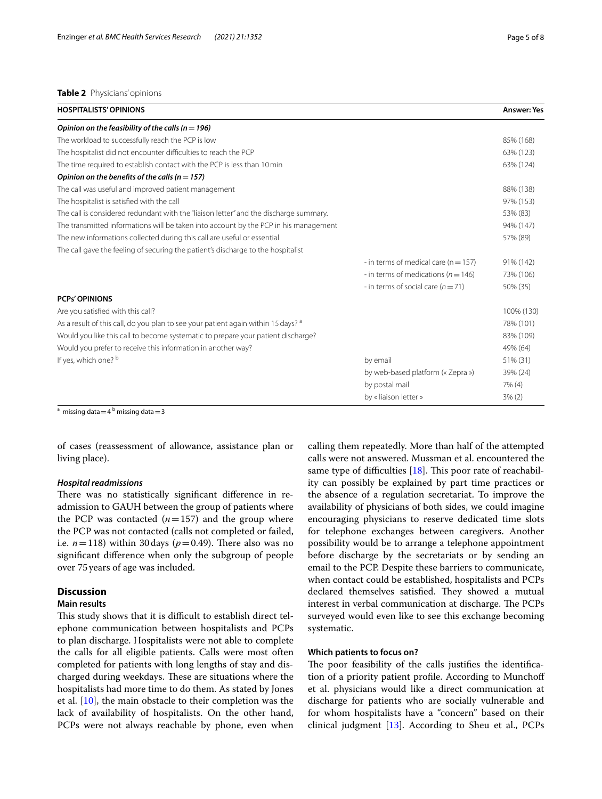## <span id="page-4-0"></span>**Table 2** Physicians' opinions

| <b>HOSPITALISTS' OPINIONS</b>                                                         |                                          | <b>Answer: Yes</b> |
|---------------------------------------------------------------------------------------|------------------------------------------|--------------------|
| Opinion on the feasibility of the calls ( $n = 196$ )                                 |                                          |                    |
| The workload to successfully reach the PCP is low                                     |                                          | 85% (168)          |
| The hospitalist did not encounter difficulties to reach the PCP                       |                                          | 63% (123)          |
| The time required to establish contact with the PCP is less than 10 min               |                                          | 63% (124)          |
| Opinion on the benefits of the calls ( $n = 157$ )                                    |                                          |                    |
| The call was useful and improved patient management                                   |                                          | 88% (138)          |
| The hospitalist is satisfied with the call                                            |                                          | 97% (153)          |
| The call is considered redundant with the "liaison letter" and the discharge summary. |                                          | 53% (83)           |
| The transmitted informations will be taken into account by the PCP in his management  |                                          | 94% (147)          |
| The new informations collected during this call are useful or essential               |                                          | 57% (89)           |
| The call gave the feeling of securing the patient's discharge to the hospitalist      |                                          |                    |
|                                                                                       | - in terms of medical care ( $n = 157$ ) | 91% (142)          |
|                                                                                       | - in terms of medications ( $n = 146$ )  | 73% (106)          |
|                                                                                       | - in terms of social care ( $n = 71$ )   | 50% (35)           |
| <b>PCPs' OPINIONS</b>                                                                 |                                          |                    |
| Are you satisfied with this call?                                                     |                                          | 100% (130)         |
| As a result of this call, do you plan to see your patient again within 15 days? a     |                                          | 78% (101)          |
| Would you like this call to become systematic to prepare your patient discharge?      |                                          | 83% (109)          |
| Would you prefer to receive this information in another way?                          |                                          | 49% (64)           |
| If yes, which one? b                                                                  | by email                                 | 51% (31)           |
|                                                                                       | by web-based platform (« Zepra »)        | 39% (24)           |
|                                                                                       | by postal mail                           | 7% (4)             |
|                                                                                       | by « liaison letter »                    | 3% (2)             |

<sup>a</sup> missing data $=$  4  $<sup>b</sup>$  missing data $=$  3</sup>

of cases (reassessment of allowance, assistance plan or living place).

## *Hospital readmissions*

There was no statistically significant difference in readmission to GAUH between the group of patients where the PCP was contacted  $(n=157)$  and the group where the PCP was not contacted (calls not completed or failed, i.e.  $n=118$ ) within 30 days ( $p=0.49$ ). There also was no signifcant diference when only the subgroup of people over 75years of age was included.

## **Discussion**

## **Main results**

This study shows that it is difficult to establish direct telephone communication between hospitalists and PCPs to plan discharge. Hospitalists were not able to complete the calls for all eligible patients. Calls were most often completed for patients with long lengths of stay and discharged during weekdays. These are situations where the hospitalists had more time to do them. As stated by Jones et al. [[10](#page-6-8)], the main obstacle to their completion was the lack of availability of hospitalists. On the other hand, PCPs were not always reachable by phone, even when calling them repeatedly. More than half of the attempted calls were not answered. Mussman et al. encountered the same type of difficulties  $[18]$ . This poor rate of reachability can possibly be explained by part time practices or the absence of a regulation secretariat. To improve the availability of physicians of both sides, we could imagine encouraging physicians to reserve dedicated time slots for telephone exchanges between caregivers. Another possibility would be to arrange a telephone appointment before discharge by the secretariats or by sending an email to the PCP. Despite these barriers to communicate, when contact could be established, hospitalists and PCPs declared themselves satisfied. They showed a mutual interest in verbal communication at discharge. The PCPs surveyed would even like to see this exchange becoming systematic.

## **Which patients to focus on?**

The poor feasibility of the calls justifies the identification of a priority patient profle. According to Munchof et al. physicians would like a direct communication at discharge for patients who are socially vulnerable and for whom hospitalists have a "concern" based on their clinical judgment  $[13]$ . According to Sheu et al., PCPs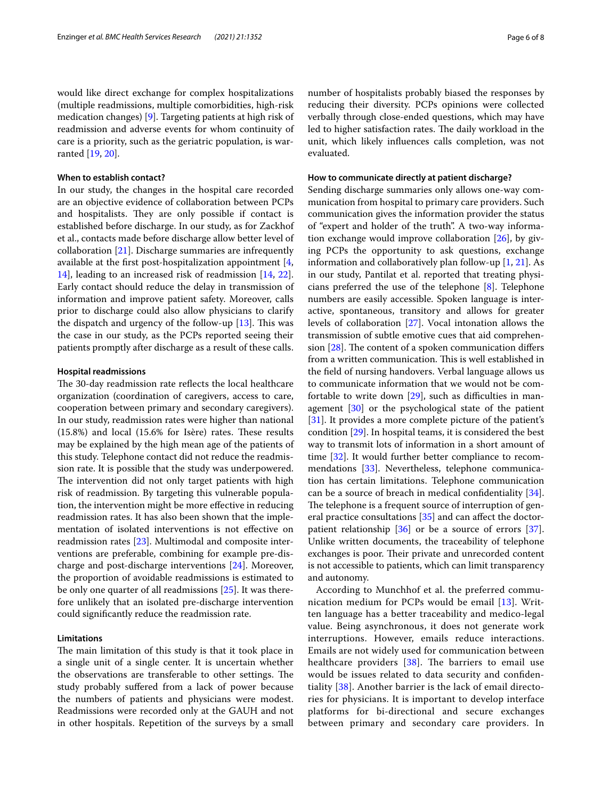would like direct exchange for complex hospitalizations (multiple readmissions, multiple comorbidities, high-risk medication changes) [\[9](#page-6-14)]. Targeting patients at high risk of readmission and adverse events for whom continuity of care is a priority, such as the geriatric population, is warranted [[19,](#page-7-2) [20](#page-7-3)].

## **When to establish contact?**

In our study, the changes in the hospital care recorded are an objective evidence of collaboration between PCPs and hospitalists. They are only possible if contact is established before discharge. In our study, as for Zackhof et al., contacts made before discharge allow better level of collaboration [[21](#page-7-4)]. Discharge summaries are infrequently available at the frst post-hospitalization appointment [\[4](#page-6-3), [14\]](#page-6-12), leading to an increased risk of readmission [\[14,](#page-6-12) [22](#page-7-5)]. Early contact should reduce the delay in transmission of information and improve patient safety. Moreover, calls prior to discharge could also allow physicians to clarify the dispatch and urgency of the follow-up  $[13]$  $[13]$  $[13]$ . This was the case in our study, as the PCPs reported seeing their patients promptly after discharge as a result of these calls.

#### **Hospital readmissions**

The 30-day readmission rate reflects the local healthcare organization (coordination of caregivers, access to care, cooperation between primary and secondary caregivers). In our study, readmission rates were higher than national  $(15.8%)$  and local  $(15.6%$  for Isère) rates. These results may be explained by the high mean age of the patients of this study. Telephone contact did not reduce the readmission rate. It is possible that the study was underpowered. The intervention did not only target patients with high risk of readmission. By targeting this vulnerable population, the intervention might be more efective in reducing readmission rates. It has also been shown that the implementation of isolated interventions is not efective on readmission rates [[23\]](#page-7-6). Multimodal and composite interventions are preferable, combining for example pre-discharge and post-discharge interventions [[24\]](#page-7-7). Moreover, the proportion of avoidable readmissions is estimated to be only one quarter of all readmissions [\[25](#page-7-8)]. It was therefore unlikely that an isolated pre-discharge intervention could signifcantly reduce the readmission rate.

## **Limitations**

The main limitation of this study is that it took place in a single unit of a single center. It is uncertain whether the observations are transferable to other settings. The study probably sufered from a lack of power because the numbers of patients and physicians were modest. Readmissions were recorded only at the GAUH and not in other hospitals. Repetition of the surveys by a small number of hospitalists probably biased the responses by reducing their diversity. PCPs opinions were collected verbally through close-ended questions, which may have led to higher satisfaction rates. The daily workload in the unit, which likely infuences calls completion, was not evaluated.

## **How to communicate directly at patient discharge?**

Sending discharge summaries only allows one-way communication from hospital to primary care providers. Such communication gives the information provider the status of "expert and holder of the truth". A two-way information exchange would improve collaboration [[26](#page-7-9)], by giving PCPs the opportunity to ask questions, exchange information and collaboratively plan follow-up [[1,](#page-6-0) [21\]](#page-7-4). As in our study, Pantilat et al. reported that treating physicians preferred the use of the telephone [[8\]](#page-6-7). Telephone numbers are easily accessible. Spoken language is interactive, spontaneous, transitory and allows for greater levels of collaboration [\[27\]](#page-7-10). Vocal intonation allows the transmission of subtle emotive cues that aid comprehension  $[28]$  $[28]$ . The content of a spoken communication differs from a written communication. This is well established in the feld of nursing handovers. Verbal language allows us to communicate information that we would not be comfortable to write down  $[29]$ , such as difficulties in management [\[30](#page-7-13)] or the psychological state of the patient [[31\]](#page-7-14). It provides a more complete picture of the patient's condition [[29](#page-7-12)]. In hospital teams, it is considered the best way to transmit lots of information in a short amount of time [[32\]](#page-7-15). It would further better compliance to recommendations [\[33\]](#page-7-16). Nevertheless, telephone communication has certain limitations. Telephone communication can be a source of breach in medical confdentiality [\[34](#page-7-17)]. The telephone is a frequent source of interruption of gen-eral practice consultations [[35\]](#page-7-18) and can affect the doctorpatient relationship [[36\]](#page-7-19) or be a source of errors [\[37](#page-7-20)]. Unlike written documents, the traceability of telephone exchanges is poor. Their private and unrecorded content is not accessible to patients, which can limit transparency and autonomy.

According to Munchhof et al. the preferred communication medium for PCPs would be email [[13](#page-6-11)]. Written language has a better traceability and medico-legal value. Being asynchronous, it does not generate work interruptions. However, emails reduce interactions. Emails are not widely used for communication between healthcare providers  $[38]$ . The barriers to email use would be issues related to data security and confdentiality [[38](#page-7-21)]. Another barrier is the lack of email directories for physicians. It is important to develop interface platforms for bi-directional and secure exchanges between primary and secondary care providers. In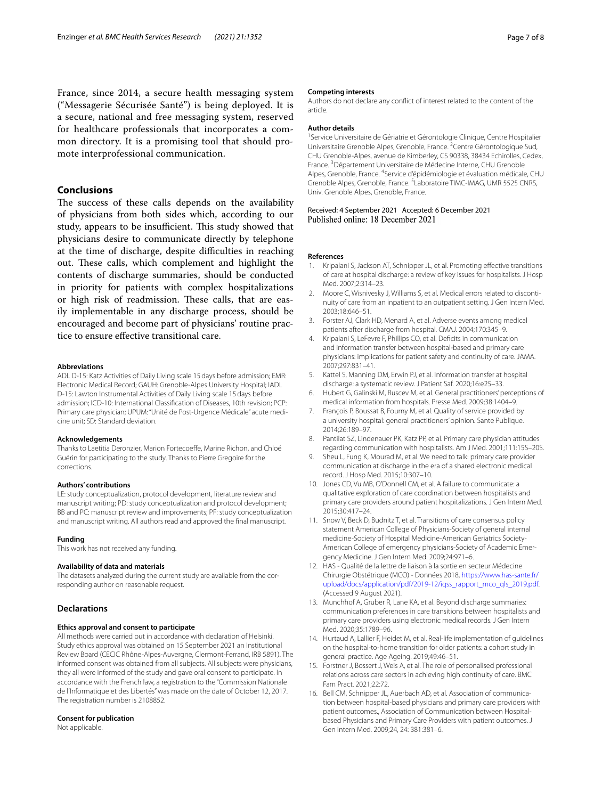France, since 2014, a secure health messaging system ("Messagerie Sécurisée Santé") is being deployed. It is a secure, national and free messaging system, reserved for healthcare professionals that incorporates a common directory. It is a promising tool that should promote interprofessional communication.

## **Conclusions**

The success of these calls depends on the availability of physicians from both sides which, according to our study, appears to be insufficient. This study showed that physicians desire to communicate directly by telephone at the time of discharge, despite difficulties in reaching out. These calls, which complement and highlight the contents of discharge summaries, should be conducted in priority for patients with complex hospitalizations or high risk of readmission. These calls, that are easily implementable in any discharge process, should be encouraged and become part of physicians' routine practice to ensure efective transitional care.

#### **Abbreviations**

ADL D-15: Katz Activities of Daily Living scale 15days before admission; EMR: Electronic Medical Record; GAUH: Grenoble-Alpes University Hospital; IADL D-15: Lawton Instrumental Activities of Daily Living scale 15days before admission; ICD-10: International Classifcation of Diseases, 10th revision; PCP: Primary care physician; UPUM: "Unité de Post-Urgence Médicale" acute medicine unit; SD: Standard deviation.

#### **Acknowledgements**

Thanks to Laetitia Deronzier, Marion Fortecoefe, Marine Richon, and Chloé Guérin for participating to the study. Thanks to Pierre Gregoire for the corrections.

#### **Authors' contributions**

LE: study conceptualization, protocol development, literature review and manuscript writing; PD: study conceptualization and protocol development; BB and PC: manuscript review and improvements; PF: study conceptualization and manuscript writing. All authors read and approved the fnal manuscript.

#### **Funding**

This work has not received any funding.

#### **Availability of data and materials**

The datasets analyzed during the current study are available from the corresponding author on reasonable request.

#### **Declarations**

#### **Ethics approval and consent to participate**

All methods were carried out in accordance with declaration of Helsinki. Study ethics approval was obtained on 15 September 2021 an Institutional Review Board (CECIC Rhône-Alpes-Auvergne, Clermont-Ferrand, IRB 5891). The informed consent was obtained from all subjects. All subjects were physicians, they all were informed of the study and gave oral consent to participate. In accordance with the French law, a registration to the "Commission Nationale de l'Informatique et des Libertés" was made on the date of October 12, 2017. The registration number is 2108852.

#### **Consent for publication**

Not applicable.

#### **Competing interests**

Authors do not declare any confict of interest related to the content of the article.

#### **Author details**

<sup>1</sup> Service Universitaire de Gériatrie et Gérontologie Clinique, Centre Hospitalier Universitaire Grenoble Alpes, Grenoble, France. <sup>2</sup> Centre Gérontologique Sud, CHU Grenoble-Alpes, avenue de Kimberley, CS 90338, 38434 Echirolles, Cedex, France.<sup>3</sup> Département Universitaire de Médecine Interne, CHU Grenoble Alpes, Grenoble, France. <sup>4</sup>Service d'épidémiologie et évaluation médicale, CHU Grenoble Alpes, Grenoble, France. <sup>5</sup> Laboratoire TIMC-IMAG, UMR 5525 CNRS, Univ. Grenoble Alpes, Grenoble, France.

## Received: 4 September 2021 Accepted: 6 December 2021

#### **References**

- <span id="page-6-0"></span>Kripalani S, Jackson AT, Schnipper JL, et al. Promoting effective transitions of care at hospital discharge: a review of key issues for hospitalists. J Hosp Med. 2007;2:314–23.
- <span id="page-6-1"></span>Moore C, Wisnivesky J, Williams S, et al. Medical errors related to discontinuity of care from an inpatient to an outpatient setting. J Gen Intern Med. 2003;18:646–51.
- <span id="page-6-2"></span>3. Forster AJ, Clark HD, Menard A, et al. Adverse events among medical patients after discharge from hospital. CMAJ. 2004;170:345–9.
- <span id="page-6-3"></span>4. Kripalani S, LeFevre F, Phillips CO, et al. Defcits in communication and information transfer between hospital-based and primary care physicians: implications for patient safety and continuity of care. JAMA. 2007;297:831–41.
- <span id="page-6-4"></span>5. Kattel S, Manning DM, Erwin PJ, et al. Information transfer at hospital discharge: a systematic review. J Patient Saf. 2020;16:e25–33.
- <span id="page-6-5"></span>6. Hubert G, Galinski M, Ruscev M, et al. General practitioners' perceptions of medical information from hospitals. Presse Med. 2009;38:1404–9.
- <span id="page-6-6"></span>7. François P, Boussat B, Fourny M, et al. Quality of service provided by a university hospital: general practitioners' opinion. Sante Publique. 2014;26:189–97.
- <span id="page-6-7"></span>8. Pantilat SZ, Lindenauer PK, Katz PP, et al. Primary care physician attitudes regarding communication with hospitalists. Am J Med. 2001;111:15S–20S.
- <span id="page-6-14"></span>9. Sheu L, Fung K, Mourad M, et al. We need to talk: primary care provider communication at discharge in the era of a shared electronic medical record. J Hosp Med. 2015;10:307–10.
- <span id="page-6-8"></span>10. Jones CD, Vu MB, O'Donnell CM, et al. A failure to communicate: a qualitative exploration of care coordination between hospitalists and primary care providers around patient hospitalizations. J Gen Intern Med. 2015;30:417–24.
- <span id="page-6-9"></span>11. Snow V, Beck D, Budnitz T, et al. Transitions of care consensus policy statement American College of Physicians-Society of general internal medicine-Society of Hospital Medicine-American Geriatrics Society-American College of emergency physicians-Society of Academic Emergency Medicine. J Gen Intern Med. 2009;24:971–6.
- <span id="page-6-10"></span>12. HAS - Qualité de la lettre de liaison à la sortie en secteur Médecine Chirurgie Obstétrique (MCO) - Données 2018, [https://www.has-sante.fr/](https://www.has-sante.fr/upload/docs/application/pdf/2019-12/iqss_rapport_mco_qls_2019.pdf) [upload/docs/application/pdf/2019-12/iqss\\_rapport\\_mco\\_qls\\_2019.pdf.](https://www.has-sante.fr/upload/docs/application/pdf/2019-12/iqss_rapport_mco_qls_2019.pdf) (Accessed 9 August 2021).
- <span id="page-6-11"></span>13. Munchhof A, Gruber R, Lane KA, et al. Beyond discharge summaries: communication preferences in care transitions between hospitalists and primary care providers using electronic medical records. J Gen Intern Med. 2020;35:1789–96.
- <span id="page-6-12"></span>14. Hurtaud A, Lallier F, Heidet M, et al. Real-life implementation of guidelines on the hospital-to-home transition for older patients: a cohort study in general practice. Age Ageing. 2019;49:46–51.
- <span id="page-6-13"></span>15. Forstner J, Bossert J, Weis A, et al. The role of personalised professional relations across care sectors in achieving high continuity of care. BMC Fam Pract. 2021;22:72.
- <span id="page-6-15"></span>16. Bell CM, Schnipper JL, Auerbach AD, et al. Association of communication between hospital-based physicians and primary care providers with patient outcomes., Association of Communication between Hospitalbased Physicians and Primary Care Providers with patient outcomes. J Gen Intern Med. 2009;24, 24: 381:381–6.